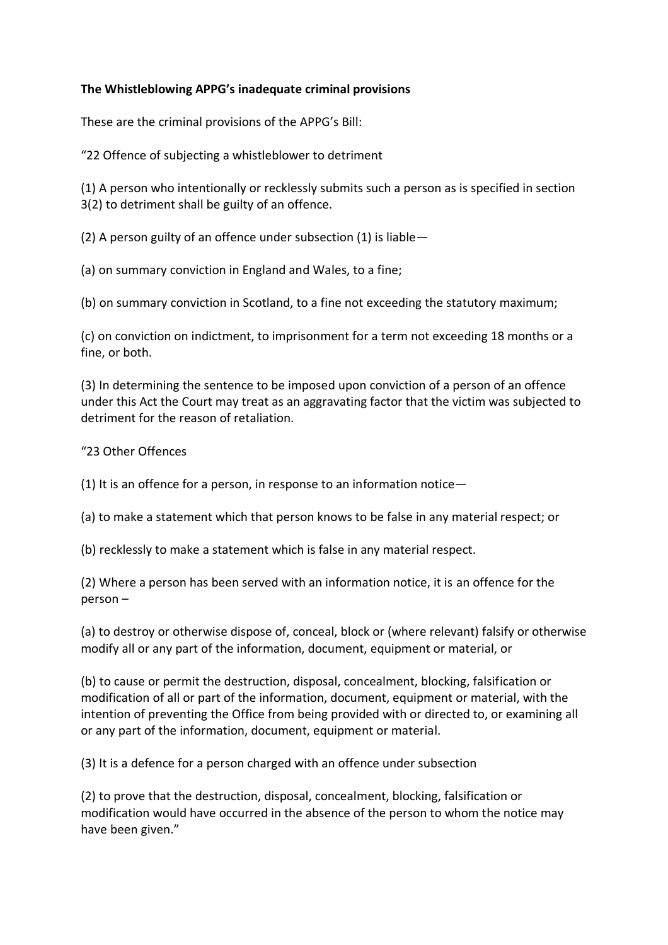## **The Whistleblowing APPG's inadequate criminal provisions**

These are the criminal provisions of the APPG's Bill:

"22 Offence of subjecting a whistleblower to detriment

(1) A person who intentionally or recklessly submits such a person as is specified in section 3(2) to detriment shall be guilty of an offence.

(2) A person guilty of an offence under subsection (1) is liable—

(a) on summary conviction in England and Wales, to a fine;

(b) on summary conviction in Scotland, to a fine not exceeding the statutory maximum;

(c) on conviction on indictment, to imprisonment for a term not exceeding 18 months or a fine, or both.

(3) In determining the sentence to be imposed upon conviction of a person of an offence under this Act the Court may treat as an aggravating factor that the victim was subjected to detriment for the reason of retaliation.

## "23 Other Offences

(1) It is an offence for a person, in response to an information notice—

(a) to make a statement which that person knows to be false in any material respect; or

(b) recklessly to make a statement which is false in any material respect.

(2) Where a person has been served with an information notice, it is an offence for the person –

(a) to destroy or otherwise dispose of, conceal, block or (where relevant) falsify or otherwise modify all or any part of the information, document, equipment or material, or

(b) to cause or permit the destruction, disposal, concealment, blocking, falsification or modification of all or part of the information, document, equipment or material, with the intention of preventing the Office from being provided with or directed to, or examining all or any part of the information, document, equipment or material.

(3) It is a defence for a person charged with an offence under subsection

(2) to prove that the destruction, disposal, concealment, blocking, falsification or modification would have occurred in the absence of the person to whom the notice may have been given."